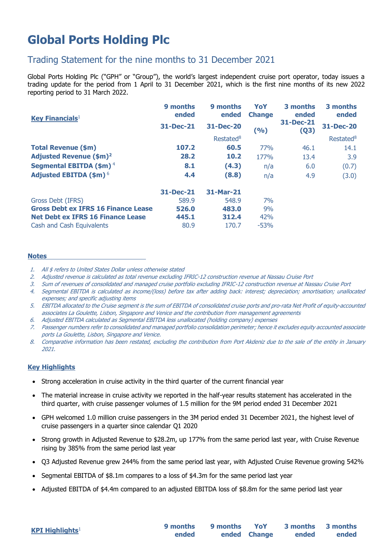# **Global Ports Holding Plc**

# Trading Statement for the nine months to 31 December 2021

Global Ports Holding Plc ("GPH" or "Group"), the world's largest independent cruise port operator, today issues a trading update for the period from 1 April to 31 December 2021, which is the first nine months of its new 2022 reporting period to 31 March 2022.

| <b>Key Financials</b> <sup>1</sup>         | 9 months<br>ended | 9 months<br>ended     | YoY<br><b>Change</b> | 3 months<br>ended | 3 months<br>ended     |
|--------------------------------------------|-------------------|-----------------------|----------------------|-------------------|-----------------------|
|                                            | 31-Dec-21         | <b>31-Dec-20</b>      | (9/6)                | 31-Dec-21<br>(Q3) | <b>31-Dec-20</b>      |
|                                            |                   | Restated <sup>8</sup> |                      |                   | Restated <sup>8</sup> |
| <b>Total Revenue (\$m)</b>                 | 107.2             | 60.5                  | 77%                  | 46.1              | 14.1                  |
| <b>Adjusted Revenue (\$m)<sup>2</sup></b>  | 28.2              | 10.2                  | <b>177%</b>          | 13.4              | 3.9                   |
| Segmental EBITDA (\$m) <sup>4</sup>        | 8.1               | (4.3)                 | n/a                  | 6.0               | (0.7)                 |
| <b>Adjusted EBITDA (\$m)<sup>6</sup></b>   | 4.4               | (8.8)                 | n/a                  | 4.9               | (3.0)                 |
|                                            | $31 - Dec-21$     | 31-Mar-21             |                      |                   |                       |
| Gross Debt (IFRS)                          | 589.9             | 548.9                 | 7%                   |                   |                       |
| <b>Gross Debt ex IFRS 16 Finance Lease</b> | 526.0             | 483.0                 | 9%                   |                   |                       |
| <b>Net Debt ex IFRS 16 Finance Lease</b>   | 445.1             | 312.4                 | 42%                  |                   |                       |
| Cash and Cash Equivalents                  | 80.9              | 170.7                 | $-53%$               |                   |                       |

#### **Notes**

- 1. All \$ refers to United States Dollar unless otherwise stated
- 2. Adjusted revenue is calculated as total revenue excluding IFRIC-12 construction revenue at Nassau Cruise Port
- 3. Sum of revenues of consolidated and managed cruise portfolio excluding IFRIC-12 construction revenue at Nassau Cruise Port
- 4. Segmental EBITDA is calculated as income/(loss) before tax after adding back: interest; depreciation; amortisation; unallocated expenses; and specific adjusting items
- 5. EBITDA allocated to the Cruise segment is the sum of EBITDA of consolidated cruise ports and pro-rata Net Profit of equity-accounted associates La Goulette, Lisbon, Singapore and Venice and the contribution from management agreements
- 6. Adjusted EBITDA calculated as Segmental EBITDA less unallocated (holding company) expenses
- 7. Passenger numbers refer to consolidated and managed portfolio consolidation perimeter; hence it excludes equity accounted associate ports La Goulette, Lisbon, Singapore and Venice.
- 8. Comparative information has been restated, excluding the contribution from Port Akdeniz due to the sale of the entity in January 2021.

### **Key Highlights**

- Strong acceleration in cruise activity in the third quarter of the current financial year
- The material increase in cruise activity we reported in the half-year results statement has accelerated in the third quarter, with cruise passenger volumes of 1.5 million for the 9M period ended 31 December 2021
- GPH welcomed 1.0 million cruise passengers in the 3M period ended 31 December 2021, the highest level of cruise passengers in a quarter since calendar Q1 2020
- Strong growth in Adjusted Revenue to \$28.2m, up 177% from the same period last year, with Cruise Revenue rising by 385% from the same period last year
- Q3 Adjusted Revenue grew 244% from the same period last year, with Adjusted Cruise Revenue growing 542%
- Segmental EBITDA of \$8.1m compares to a loss of \$4.3m for the same period last year
- Adjusted EBITDA of \$4.4m compared to an adjusted EBITDA loss of \$8.8m for the same period last year

**ended 9 months ended Change YoY 3 months ended**

**3 months ended**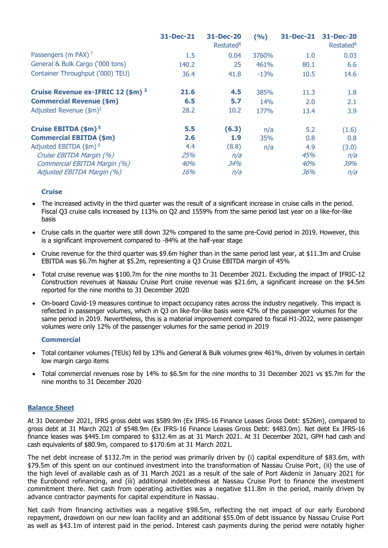|                                               | 31-Dec-21 | 31-Dec-20<br>Restated <sup>8</sup> | (9/6)  | <b>31-Dec-21</b> | <b>31-Dec-20</b><br>Restated <sup>8</sup> |
|-----------------------------------------------|-----------|------------------------------------|--------|------------------|-------------------------------------------|
| Passengers (m PAX) <sup>7</sup>               | 1.5       | 0.04                               | 3760%  | 1.0              | 0.03                                      |
| General & Bulk Cargo ('000 tons)              | 140.2     | 25                                 | 461%   | 80.1             | 6.6                                       |
| Container Throughput ('000) TEU)              | 36.4      | 41.8                               | $-13%$ | 10.5             | 14.6                                      |
| Cruise Revenue ex-IFRIC 12 (\$m) <sup>3</sup> | 21.6      | 4.5                                | 385%   | 11.3             | 1.8                                       |
| <b>Commercial Revenue (\$m)</b>               | 6.5       | 5.7                                | 14%    | 2.0              | 2.1                                       |
| Adjusted Revenue $(\$m)^2$                    | 28.2      | 10.2                               | 177%   | 13.4             | 3.9                                       |
| Cruise EBITDA (\$m) <sup>5</sup>              | 5.5       | (6.3)                              | n/a    | 5.2              | (1.6)                                     |
| <b>Commercial EBITDA (\$m)</b>                | 2.6       | 1.9                                | 35%    | 0.8              | 0.8                                       |
| Adjusted EBITDA (\$m) <sup>6</sup>            | 4.4       | (8.8)                              | n/a    | 4.9              | (3.0)                                     |
| Cruise EBITDA Margin (%)                      | 25%       | n/a                                |        | 45%              | n/a                                       |
| Commercial EBITDA Margin (%)                  | 40%       | 34%                                |        | 40%              | 39%                                       |
| Adjusted EBITDA Margin (%)                    | 16%       | n/a                                |        | 36%              | n/a                                       |

#### **Cruise**

- The increased activity in the third quarter was the result of a significant increase in cruise calls in the period. Fiscal Q3 cruise calls increased by 113% on Q2 and 1559% from the same period last year on a like-for-like basis
- Cruise calls in the quarter were still down 32% compared to the same pre-Covid period in 2019. However, this is a significant improvement compared to -84% at the half-year stage
- Cruise revenue for the third quarter was \$9.6m higher than in the same period last year, at \$11.3m and Cruise EBITDA was \$6.7m higher at \$5.2m, representing a Q3 Cruise EBITDA margin of 45%
- Total cruise revenue was \$100.7m for the nine months to 31 December 2021. Excluding the impact of IFRIC-12 Construction revenues at Nassau Cruise Port cruise revenue was \$21.6m, a significant increase on the \$4.5m reported for the nine months to 31 December 2020
- On-board Covid-19 measures continue to impact occupancy rates across the industry negatively. This impact is reflected in passenger volumes, which in Q3 on like-for-like basis were 42% of the passenger volumes for the same period in 2019. Nevertheless, this is a material improvement compared to fiscal H1-2022, were passenger volumes were only 12% of the passenger volumes for the same period in 2019

#### **Commercial**

- Total container volumes (TEUs) fell by 13% and General & Bulk volumes grew 461%, driven by volumes in certain low margin cargo items
- Total commercial revenues rose by 14% to \$6.5m for the nine months to 31 December 2021 vs \$5.7m for the nine months to 31 December 2020

#### **Balance Sheet**

At 31 December 2021, IFRS gross debt was \$589.9m (Ex IFRS-16 Finance Leases Gross Debt: \$526m), compared to gross debt at 31 March 2021 of \$548.9m (Ex IFRS-16 Finance Leases Gross Debt: \$483.0m). Net debt Ex IFRS-16 finance leases was \$445.1m compared to \$312.4m as at 31 March 2021. At 31 December 2021, GPH had cash and cash equivalents of \$80.9m, compared to \$170.6m at 31 March 2021.

The net debt increase of \$132.7m in the period was primarily driven by (i) capital expenditure of \$83.6m, with \$79.5m of this spent on our continued investment into the transformation of Nassau Cruise Port, (ii) the use of the high level of available cash as of 31 March 2021 as a result of the sale of Port Akdeniz in January 2021 for the Eurobond refinancing, and (iii) additional indebtedness at Nassau Cruise Port to finance the investment commitment there. Net cash from operating activities was a negative \$11.8m in the period, mainly driven by advance contractor payments for capital expenditure in Nassau.

Net cash from financing activities was a negative \$98.5m, reflecting the net impact of our early Eurobond repayment, drawdown on our new loan facility and an additional \$55.0m of debt issuance by Nassau Cruise Port as well as \$43.1m of interest paid in the period. Interest cash payments during the period were notably higher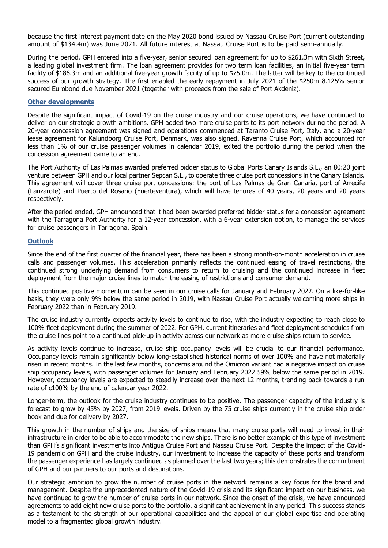because the first interest payment date on the May 2020 bond issued by Nassau Cruise Port (current outstanding amount of \$134.4m) was June 2021. All future interest at Nassau Cruise Port is to be paid semi-annually.

During the period, GPH entered into a five-year, senior secured loan agreement for up to \$261.3m with Sixth Street, a leading global investment firm. The loan agreement provides for two term loan facilities, an initial five-year term facility of \$186.3m and an additional five-year growth facility of up to \$75.0m. The latter will be key to the continued success of our growth strategy. The first enabled the early repayment in July 2021 of the \$250m 8.125% senior secured Eurobond due November 2021 (together with proceeds from the sale of Port Akdeniz).

#### **Other developments**

Despite the significant impact of Covid-19 on the cruise industry and our cruise operations, we have continued to deliver on our strategic growth ambitions. GPH added two more cruise ports to its port network during the period. A 20-year concession agreement was signed and operations commenced at Taranto Cruise Port, Italy, and a 20-year lease agreement for Kalundborg Cruise Port, Denmark, was also signed. Ravenna Cruise Port, which accounted for less than 1% of our cruise passenger volumes in calendar 2019, exited the portfolio during the period when the concession agreement came to an end.

The Port Authority of Las Palmas awarded preferred bidder status to Global Ports Canary Islands S.L., an 80:20 joint venture between GPH and our local partner Sepcan S.L., to operate three cruise port concessions in the Canary Islands. This agreement will cover three cruise port concessions: the port of Las Palmas de Gran Canaria, port of Arrecife (Lanzarote) and Puerto del Rosario (Fuerteventura), which will have tenures of 40 years, 20 years and 20 years respectively.

After the period ended, GPH announced that it had been awarded preferred bidder status for a concession agreement with the Tarragona Port Authority for a 12-year concession, with a 6-year extension option, to manage the services for cruise passengers in Tarragona, Spain.

#### **Outlook**

Since the end of the first quarter of the financial year, there has been a strong month-on-month acceleration in cruise calls and passenger volumes. This acceleration primarily reflects the continued easing of travel restrictions, the continued strong underlying demand from consumers to return to cruising and the continued increase in fleet deployment from the major cruise lines to match the easing of restrictions and consumer demand.

This continued positive momentum can be seen in our cruise calls for January and February 2022. On a like-for-like basis, they were only 9% below the same period in 2019, with Nassau Cruise Port actually welcoming more ships in February 2022 than in February 2019.

The cruise industry currently expects activity levels to continue to rise, with the industry expecting to reach close to 100% fleet deployment during the summer of 2022. For GPH, current itineraries and fleet deployment schedules from the cruise lines point to a continued pick-up in activity across our network as more cruise ships return to service.

As activity levels continue to increase, cruise ship occupancy levels will be crucial to our financial performance. Occupancy levels remain significantly below long-established historical norms of over 100% and have not materially risen in recent months. In the last few months, concerns around the Omicron variant had a negative impact on cruise ship occupancy levels, with passenger volumes for January and February 2022 59% below the same period in 2019. However, occupancy levels are expected to steadily increase over the next 12 months, trending back towards a run rate of c100% by the end of calendar year 2022.

Longer-term, the outlook for the cruise industry continues to be positive. The passenger capacity of the industry is forecast to grow by 45% by 2027, from 2019 levels. Driven by the 75 cruise ships currently in the cruise ship order book and due for delivery by 2027.

This growth in the number of ships and the size of ships means that many cruise ports will need to invest in their infrastructure in order to be able to accommodate the new ships. There is no better example of this type of investment than GPH's significant investments into Antigua Cruise Port and Nassau Cruise Port. Despite the impact of the Covid-19 pandemic on GPH and the cruise industry, our investment to increase the capacity of these ports and transform the passenger experience has largely continued as planned over the last two years; this demonstrates the commitment of GPH and our partners to our ports and destinations.

Our strategic ambition to grow the number of cruise ports in the network remains a key focus for the board and management. Despite the unprecedented nature of the Covid-19 crisis and its significant impact on our business, we have continued to grow the number of cruise ports in our network. Since the onset of the crisis, we have announced agreements to add eight new cruise ports to the portfolio, a significant achievement in any period. This success stands as a testament to the strength of our operational capabilities and the appeal of our global expertise and operating model to a fragmented global growth industry.